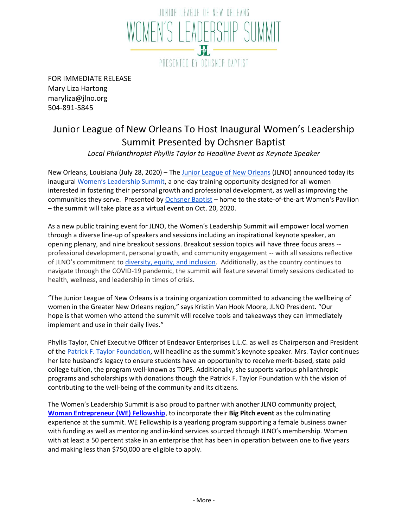

FOR IMMEDIATE RELEASE Mary Liza Hartong maryliza@jlno.org 504-891-5845

## Junior League of New Orleans To Host Inaugural Women's Leadership Summit Presented by Ochsner Baptist

*Local Philanthropist Phyllis Taylor to Headline Event as Keynote Speaker*

N[e](http://www.jlno.org/)w Orleans, Louisiana (July 28, 2020) – The [Junior League of New Orleans](http://www.jlno.org/) (JLNO) announced today its inaugural [Women's Leadership Summit](http://www.jlno.org/wls), a one-day training opportunity designed for all women interested in fostering their personal growth and professional development, as well as improving the communities they serve. Presented b[y](https://www.ochsner.org/locations/ochsner-baptist?utm_source=YextGoogle&utm_medium=Yext) [Ochsner Baptist](https://www.ochsner.org/locations/ochsner-baptist?utm_source=YextGoogle&utm_medium=Yext) – home to the state-of-the-art Women's Pavilion – the summit will take place as a virtual event on Oct. 20, 2020.

As a new public training event for JLNO, the Women's Leadership Summit will empower local women through a diverse line-up of speakers and sessions including an inspirational keynote speaker, an opening plenary, and nine breakout sessions. Breakout session topics will have three focus areas - professional development, personal growth, and community engagement -- with all sessions reflective of JLNO's commitment t[o](https://www.jlno.org/about/commitment-to-diversity-inclusion/) [diversity, equity, and inclusion.](https://www.jlno.org/about/commitment-to-diversity-inclusion/) Additionally, as the country continues to navigate through the COVID-19 pandemic, the summit will feature several timely sessions dedicated to health, wellness, and leadership in times of crisis.

"The Junior League of New Orleans is a training organization committed to advancing the wellbeing of women in the Greater New Orleans region," says Kristin Van Hook Moore, JLNO President. "Our hope is that women who attend the summit will receive tools and takeaways they can immediately implement and use in their daily lives."

Phyllis Taylor, Chief Executive Officer of Endeavor Enterprises L.L.C. as well as Chairperson and President of th[e](http://www.pftaylorfoundation.org/) [Patrick F. Taylor Foundation,](http://www.pftaylorfoundation.org/) will headline as the summit's keynote speaker. Mrs. Taylor continues her late husband's legacy to ensure students have an opportunity to receive merit-based, state paid college tuition, the program well-known as TOPS. Additionally, she supports various philanthropic programs and scholarships with donations though the Patrick F. Taylor Foundation with the vision of contributing to the well-being of the community and its citizens.

The Women's Leadership Summit is also proud to partner with another JLNO community project, **[Woman Entrepreneur \(WE\) Fellowship](https://www.jlno.org/community/woman-entrepreneur-fellowship/)**, to incorporate their **Big Pitch event** as the culminating experience at the summit. WE Fellowship is a yearlong program supporting a female business owner with funding as well as mentoring and in-kind services sourced through JLNO's membership. Women with at least a 50 percent stake in an enterprise that has been in operation between one to five years and making less than \$750,000 are eligible to apply.